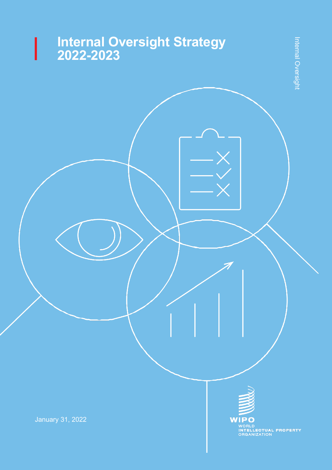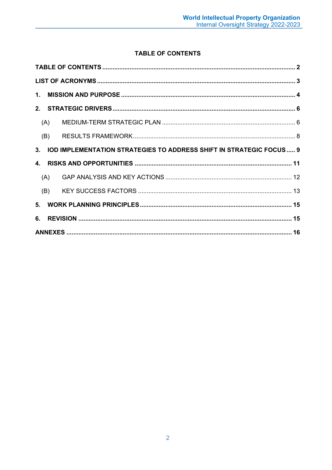# TABLE OF CONTENTS

<span id="page-1-0"></span>

| (A) |                                                                        |  |  |  |  |  |  |
|-----|------------------------------------------------------------------------|--|--|--|--|--|--|
| (B) |                                                                        |  |  |  |  |  |  |
|     | 3. IOD IMPLEMENTATION STRATEGIES TO ADDRESS SHIFT IN STRATEGIC FOCUS 9 |  |  |  |  |  |  |
|     |                                                                        |  |  |  |  |  |  |
| (A) |                                                                        |  |  |  |  |  |  |
| (B) |                                                                        |  |  |  |  |  |  |
|     |                                                                        |  |  |  |  |  |  |
|     |                                                                        |  |  |  |  |  |  |
|     |                                                                        |  |  |  |  |  |  |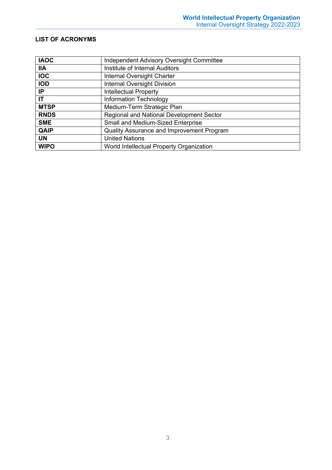### <span id="page-2-0"></span>**LIST OF ACRONYMS**

| <b>IAOC</b> | Independent Advisory Oversight Committee  |
|-------------|-------------------------------------------|
| <b>IIA</b>  | Institute of Internal Auditors            |
| <b>IOC</b>  | Internal Oversight Charter                |
| <b>IOD</b>  | <b>Internal Oversight Division</b>        |
| IP          | <b>Intellectual Property</b>              |
| IT          | Information Technology                    |
| <b>MTSP</b> | Medium-Term Strategic Plan                |
| <b>RNDS</b> | Regional and National Development Sector  |
| <b>SME</b>  | Small and Medium-Sized Enterprise         |
| <b>QAIP</b> | Quality Assurance and Improvement Program |
| <b>UN</b>   | <b>United Nations</b>                     |
| <b>WIPO</b> | World Intellectual Property Organization  |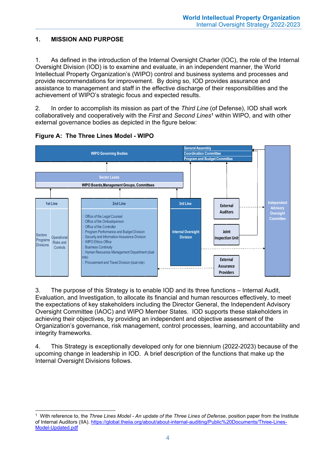## <span id="page-3-0"></span>**1. MISSION AND PURPOSE**

1. As defined in the introduction of the Internal Oversight Charter (IOC), the role of the Internal Oversight Division (IOD) is to examine and evaluate, in an independent manner, the World Intellectual Property Organization's (WIPO) control and business systems and processes and provide recommendations for improvement. By doing so, IOD provides assurance and assistance to management and staff in the effective discharge of their responsibilities and the achievement of WIPO's strategic focus and expected results.

2. In order to accomplish its mission as part of the *Third Line* (of Defense), IOD shall work collaboratively and cooperatively with the *First* and *Second Lines***[1](#page-3-1)** within WIPO, and with other external governance bodies as depicted in the figure below:





3. The purpose of this Strategy is to enable IOD and its three functions – Internal Audit, Evaluation, and Investigation, to allocate its financial and human resources effectively, to meet the expectations of key stakeholders including the Director General, the Independent Advisory Oversight Committee (IAOC) and WIPO Member States. IOD supports these stakeholders in achieving their objectives, by providing an independent and objective assessment of the Organization's governance, risk management, control processes, learning, and accountability and integrity frameworks.

4. This Strategy is exceptionally developed only for one biennium (2022-2023) because of the upcoming change in leadership in IOD. A brief description of the functions that make up the Internal Oversight Divisions follows.

<span id="page-3-1"></span> <sup>1</sup> With reference to, the *Three Lines Model - An update of the Three Lines of Defense*, position paper from the Institute of Internal Auditors (IIA). [https://global.theiia.org/about/about-internal-auditing/Public%20Documents/Three-Lines-](https://global.theiia.org/about/about-internal-auditing/Public%20Documents/Three-Lines-Model-Updated.pdf)[Model-Updated.pdf](https://global.theiia.org/about/about-internal-auditing/Public%20Documents/Three-Lines-Model-Updated.pdf)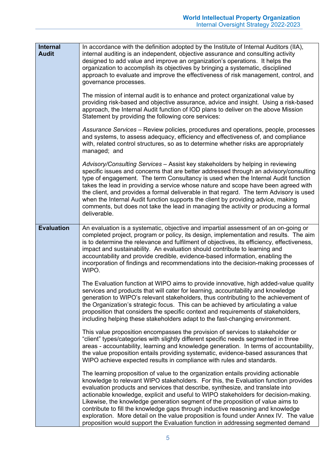| <b>Internal</b><br><b>Audit</b> | In accordance with the definition adopted by the Institute of Internal Auditors (IIA),<br>internal auditing is an independent, objective assurance and consulting activity<br>designed to add value and improve an organization's operations. It helps the<br>organization to accomplish its objectives by bringing a systematic, disciplined<br>approach to evaluate and improve the effectiveness of risk management, control, and<br>governance processes.<br>The mission of internal audit is to enhance and protect organizational value by<br>providing risk-based and objective assurance, advice and insight. Using a risk-based<br>approach, the Internal Audit function of IOD plans to deliver on the above Mission<br>Statement by providing the following core services: |
|---------------------------------|---------------------------------------------------------------------------------------------------------------------------------------------------------------------------------------------------------------------------------------------------------------------------------------------------------------------------------------------------------------------------------------------------------------------------------------------------------------------------------------------------------------------------------------------------------------------------------------------------------------------------------------------------------------------------------------------------------------------------------------------------------------------------------------|
|                                 | Assurance Services - Review policies, procedures and operations, people, processes<br>and systems, to assess adequacy, efficiency and effectiveness of, and compliance<br>with, related control structures, so as to determine whether risks are appropriately<br>managed; and                                                                                                                                                                                                                                                                                                                                                                                                                                                                                                        |
|                                 | Advisory/Consulting Services - Assist key stakeholders by helping in reviewing<br>specific issues and concerns that are better addressed through an advisory/consulting<br>type of engagement. The term Consultancy is used when the Internal Audit function<br>takes the lead in providing a service whose nature and scope have been agreed with<br>the client, and provides a formal deliverable in that regard. The term Advisory is used<br>when the Internal Audit function supports the client by providing advice, making<br>comments, but does not take the lead in managing the activity or producing a formal<br>deliverable.                                                                                                                                              |
| <b>Evaluation</b>               | An evaluation is a systematic, objective and impartial assessment of an on-going or<br>completed project, program or policy, its design, implementation and results. The aim<br>is to determine the relevance and fulfilment of objectives, its efficiency, effectiveness,<br>impact and sustainability. An evaluation should contribute to learning and<br>accountability and provide credible, evidence-based information, enabling the<br>incorporation of findings and recommendations into the decision-making processes of<br>WIPO.                                                                                                                                                                                                                                             |
|                                 | The Evaluation function at WIPO aims to provide innovative, high added-value quality<br>services and products that will cater for learning, accountability and knowledge<br>generation to WIPO's relevant stakeholders, thus contributing to the achievement of<br>the Organization's strategic focus. This can be achieved by articulating a value<br>proposition that considers the specific context and requirements of stakeholders,<br>including helping these stakeholders adapt to the fast-changing environment.                                                                                                                                                                                                                                                              |
|                                 | This value proposition encompasses the provision of services to stakeholder or<br>"client" types/categories with slightly different specific needs segmented in three<br>areas - accountability, learning and knowledge generation. In terms of accountability,<br>the value proposition entails providing systematic, evidence-based assurances that<br>WIPO achieve expected results in compliance with rules and standards.                                                                                                                                                                                                                                                                                                                                                        |
|                                 | The learning proposition of value to the organization entails providing actionable<br>knowledge to relevant WIPO stakeholders. For this, the Evaluation function provides<br>evaluation products and services that describe, synthesize, and translate into<br>actionable knowledge, explicit and useful to WIPO stakeholders for decision-making.<br>Likewise, the knowledge generation segment of the proposition of value aims to<br>contribute to fill the knowledge gaps through inductive reasoning and knowledge<br>exploration. More detail on the value proposition is found under Annex IV. The value<br>proposition would support the Evaluation function in addressing segmented demand                                                                                   |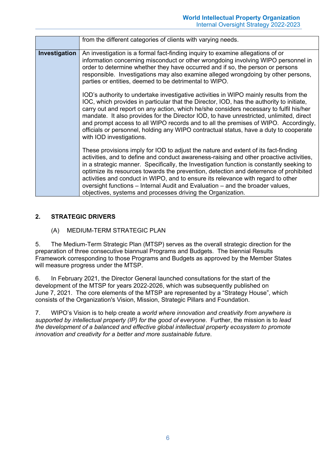|               | from the different categories of clients with varying needs.                                                                                                                                                                                                                                                                                                                                                                                                                                                                                                                                           |
|---------------|--------------------------------------------------------------------------------------------------------------------------------------------------------------------------------------------------------------------------------------------------------------------------------------------------------------------------------------------------------------------------------------------------------------------------------------------------------------------------------------------------------------------------------------------------------------------------------------------------------|
| Investigation | An investigation is a formal fact-finding inquiry to examine allegations of or<br>information concerning misconduct or other wrongdoing involving WIPO personnel in<br>order to determine whether they have occurred and if so, the person or persons<br>responsible. Investigations may also examine alleged wrongdoing by other persons,<br>parties or entities, deemed to be detrimental to WIPO.                                                                                                                                                                                                   |
|               | IOD's authority to undertake investigative activities in WIPO mainly results from the<br>IOC, which provides in particular that the Director, IOD, has the authority to initiate,<br>carry out and report on any action, which he/she considers necessary to fulfil his/her<br>mandate. It also provides for the Director IOD, to have unrestricted, unlimited, direct<br>and prompt access to all WIPO records and to all the premises of WIPO. Accordingly,<br>officials or personnel, holding any WIPO contractual status, have a duty to cooperate<br>with IOD investigations.                     |
|               | These provisions imply for IOD to adjust the nature and extent of its fact-finding<br>activities, and to define and conduct awareness-raising and other proactive activities,<br>in a strategic manner. Specifically, the Investigation function is constantly seeking to<br>optimize its resources towards the prevention, detection and deterrence of prohibited<br>activities and conduct in WIPO, and to ensure its relevance with regard to other<br>oversight functions – Internal Audit and Evaluation – and the broader values,<br>objectives, systems and processes driving the Organization. |

## <span id="page-5-1"></span><span id="page-5-0"></span>**2. STRATEGIC DRIVERS**

(A) MEDIUM-TERM STRATEGIC PLAN

5. The Medium-Term Strategic Plan (MTSP) serves as the overall strategic direction for the preparation of three consecutive biannual Programs and Budgets. The biennial Results Framework corresponding to those Programs and Budgets as approved by the Member States will measure progress under the MTSP.

6. In February 2021, the Director General launched consultations for the start of the development of the MTSP for years 2022-2026, which was subsequently published on June 7, 2021. The core elements of the MTSP are represented by a "Strategy House", which consists of the Organization's Vision, Mission, Strategic Pillars and Foundation.

7. WIPO's Vision is to help create a *world where innovation and creativity from anywhere is supported by intellectual property (IP) for the good of everyone*. Further, the mission is to *lead the development of a balanced and effective global intellectual property ecosystem to promote innovation and creativity for a better and more sustainable future*.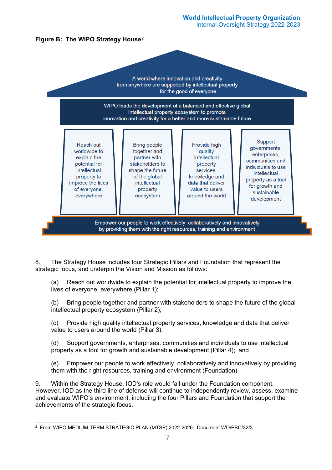

8. The Strategy House includes four Strategic Pillars and Foundation that represent the strategic focus, and underpin the Vision and Mission as follows:

(a) Reach out worldwide to explain the potential for intellectual property to improve the lives of everyone, everywhere (Pillar 1);

(b) Bring people together and partner with stakeholders to shape the future of the global intellectual property ecosystem (Pillar 2);

(c) Provide high quality intellectual property services, knowledge and data that deliver value to users around the world (Pillar 3);

(d) Support governments, enterprises, communities and individuals to use intellectual property as a tool for growth and sustainable development (Pillar 4); and

(e) Empower our people to work effectively, collaboratively and innovatively by providing them with the right resources, training and environment (Foundation).

9. Within the Strategy House, IOD's role would fall under the Foundation component. However, IOD as the third line of defense will continue to independently review, assess, examine and evaluate WIPO's environment, including the four Pillars and Foundation that support the achievements of the strategic focus.

<span id="page-6-0"></span> <sup>2</sup> From WIPO MEDIUM-TERM STRATEGIC PLAN (MTSP) 2022-2026. Document WO/PBC/32/3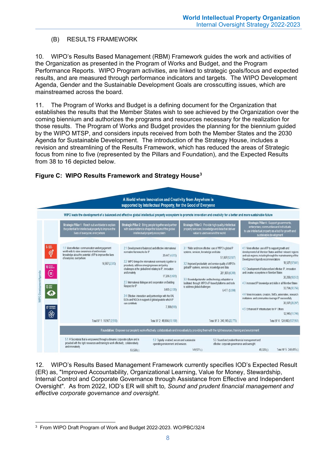## <span id="page-7-0"></span>(B) RESULTS FRAMEWORK

10. WIPO's Results Based Management (RBM) Framework guides the work and activities of the Organization as presented in the Program of Works and Budget, and the Program Performance Reports. WIPO Program activities, are linked to strategic goals/focus and expected results, and are measured through performance indicators and targets. The WIPO Development Agenda, Gender and the Sustainable Development Goals are crosscutting issues, which are mainstreamed across the board.

11. The Program of Works and Budget is a defining document for the Organization that establishes the results that the Member States wish to see achieved by the Organization over the coming biennium and authorizes the programs and resources necessary for the realization for those results. The Program of Works and Budget provides the planning for the biennium guided by the WIPO MTSP, and considers inputs received from both the Member States and the 2030 Agenda for Sustainable Development. The introduction of the Strategy House, includes a revision and streamlining of the Results Framework, which has reduced the areas of Strategic focus from nine to five (represented by the Pillars and Foundation), and the Expected Results from 38 to 16 depicted below.

#### A World where Innovation and Creativity from Anywhere is supported by Intellectual Property, for the Good of Everyone WIPO leads the development of a balanced and effective global intellectual property ecosystem to promote innovation and creativity for a better and more sustainable future gic Pillar 1: Reach out worldwide<br>tential for intellectual property to inte<br>lives of everyone, everyoter .<br>Strategic Pillar 3: Provide high quality intelle<br>property services, knowledge and data that de ntegic Pillar 2: E 2. Bring people together and partr<br>ars to shape the future of the globa al for intellectual pro<br>ives of everyone, ev More effective communication and engagement 2.1 Development of balanced and effective international 3.1 Wider and more effective use of WIPO's global IP 4.1 More effective use of IP to support growth and The displacement of all Member States and their relevant regions<br>and sub-regions, including through the mainstreaming of the<br>Development Agenda recommendations world-wide to raise awareness of and increase<br>knowledge about the potential of IP to improve the lives normative frameworks for IP systems, services, knowledge and data 20 447 (4 613) 51807/12927 of everyone, everywhe 2.2 WIPO brings the international community together to 18 527 (17 641) 16 967 (2.510) 3.2 Improved productivity and service quality of WIPO's proactively address emerging issues and policy<br>challenges at the global level relating to IP, innovation global IP systems, services, knowledge and data 4.2 Development of balanced and effective IP innovation and creative ecosystems in Member States and creatwity 281.861 (4.249) 17 206 (5 431) 30 208 (18 512) 3.3 Knowledge transfer and technology adaptation is 2.3 International dialogue and cooperation on Building facilitated through WIPO's IP-based platforms and tools<br>to address global challenges 4.3 Increased IP knowledge and skills in all Member States Respect for IP 32 724 (30 756) 3805/2139 6.477 (5.598) 4.4 More innovators, creators, SMEs, universities, research 24 Effective interaction and partnerships with the UN institutions and communities leverage IP successfully IGOs and NGOs in support of global goals to which IP 30.037 (29.297) can contribute. 7,398 (918) 4.5 Enhanced IP infrastructure for IP Offices 12.946 (11.746) Total SF 4: 124.442 (107.951) Total SF 1: 16 967 (2.510) Total SE 2: 48.856 (13.100) Total SE 3: 340 145 (22 775) Foundation: Empower our people to work effectively, collaboratively and innovatively by providing them with the right resources, training and environment 5.1 A Secretariat that is empowered through a dynamic corporate culture and is 5.2 Digitally enabled, secure and sustainable 5.3 Sound and prudent financial manager vided with the right resources and training to work effectively, collaboratively operating environment and services. effective corporate governance and oversight and innovatively  $149,571$ (-) 45,320 (-) Total SF 5: 248,419 (-) 53528 (J)

**Figure C: WIPO Results Framework and Strategy House[3](#page-7-1)**

12. WIPO's Results Based Management Framework currently specifies IOD's Expected Result (ER) as, "Improved Accountability, Organizational Learning, Value for Money, Stewardship, Internal Control and Corporate Governance through Assistance from Effective and Independent Oversight"*.* As from 2022, IOD's ER will shift to*, Sound and prudent financial management and effective corporate governance and oversight*.

<span id="page-7-1"></span> <sup>3</sup> From WIPO Draft Program of Work and Budget 2022-2023. WO/PBC/32/4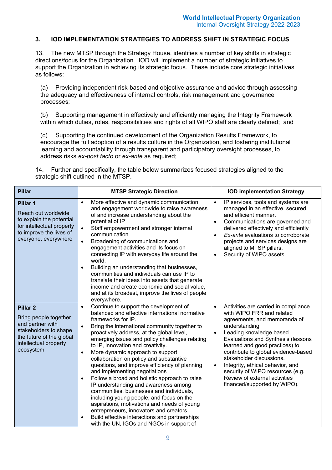## <span id="page-8-0"></span>**3. IOD IMPLEMENTATION STRATEGIES TO ADDRESS SHIFT IN STRATEGIC FOCUS**

13. The new MTSP through the Strategy House, identifies a number of key shifts in strategic directions/focus for the Organization. IOD will implement a number of strategic initiatives to support the Organization in achieving its strategic focus. These include core strategic initiatives as follows:

(a) Providing independent risk-based and objective assurance and advice through assessing the adequacy and effectiveness of internal controls, risk management and governance processes;

(b) Supporting management in effectively and efficiently managing the Integrity Framework within which duties, roles, responsibilities and rights of all WIPO staff are clearly defined; and

(c) Supporting the continued development of the Organization Results Framework, to encourage the full adoption of a results culture in the Organization, and fostering institutional learning and accountability through transparent and participatory oversight processes, to address risks *ex-post facto* or *ex-ante* as required;

14. Further and specifically, the table below summarizes focused strategies aligned to the strategic shift outlined in the MTSP.

| <b>Pillar</b>                                                                                                                                           | <b>MTSP Strategic Direction</b>                                                                                                                                                                                                                                                                                                                                                                                                                                                                                                                                                                                                                                                                                                                                                                                                                                                                              | <b>IOD implementation Strategy</b>                                                                                                                                                                                                                                                                                                                                                                                                                                        |
|---------------------------------------------------------------------------------------------------------------------------------------------------------|--------------------------------------------------------------------------------------------------------------------------------------------------------------------------------------------------------------------------------------------------------------------------------------------------------------------------------------------------------------------------------------------------------------------------------------------------------------------------------------------------------------------------------------------------------------------------------------------------------------------------------------------------------------------------------------------------------------------------------------------------------------------------------------------------------------------------------------------------------------------------------------------------------------|---------------------------------------------------------------------------------------------------------------------------------------------------------------------------------------------------------------------------------------------------------------------------------------------------------------------------------------------------------------------------------------------------------------------------------------------------------------------------|
| Pillar 1<br>Reach out worldwide<br>to explain the potential<br>for intellectual property<br>to improve the lives of<br>everyone, everywhere             | More effective and dynamic communication<br>$\bullet$<br>and engagement worldwide to raise awareness<br>of and increase understanding about the<br>potential of IP<br>Staff empowerment and stronger internal<br>$\bullet$<br>communication<br>Broadening of communications and<br>$\bullet$<br>engagement activities and its focus on<br>connecting IP with everyday life around the<br>world.<br>Building an understanding that businesses,<br>$\bullet$<br>communities and individuals can use IP to<br>translate their ideas into assets that generate<br>income and create economic and social value,<br>and at its broadest, improve the lives of people<br>everywhere.                                                                                                                                                                                                                                | IP services, tools and systems are<br>$\bullet$<br>managed in an effective, secured,<br>and efficient manner.<br>Communications are governed and<br>$\bullet$<br>delivered effectively and efficiently<br>Ex-ante evaluations to corroborate<br>$\bullet$<br>projects and services designs are<br>aligned to MTSP pillars.<br>Security of WIPO assets.<br>$\bullet$                                                                                                       |
| <b>Pillar 2</b><br>Bring people together<br>and partner with<br>stakeholders to shape<br>the future of the global<br>intellectual property<br>ecosystem | Continue to support the development of<br>$\bullet$<br>balanced and effective international normative<br>frameworks for IP.<br>Bring the international community together to<br>$\bullet$<br>proactively address, at the global level,<br>emerging issues and policy challenges relating<br>to IP, innovation and creativity.<br>More dynamic approach to support<br>$\bullet$<br>collaboration on policy and substantive<br>questions, and improve efficiency of planning<br>and implementing negotiations<br>Follow a broad and holistic approach to raise<br>$\bullet$<br>IP understanding and awareness among<br>communities, businesses and individuals,<br>including young people, and focus on the<br>aspirations, motivations and needs of young<br>entrepreneurs, innovators and creators<br>Build effective interactions and partnerships<br>$\bullet$<br>with the UN, IGOs and NGOs in support of | Activities are carried in compliance<br>$\bullet$<br>with WIPO FRR and related<br>agreements, and memoranda of<br>understanding.<br>Leading knowledge based<br>$\bullet$<br>Evaluations and Synthesis (lessons<br>learned and good practices) to<br>contribute to global evidence-based<br>stakeholder discussions.<br>Integrity, ethical behavior, and<br>$\bullet$<br>security of WIPO resources (e.g.<br>Review of external activities<br>financed/supported by WIPO). |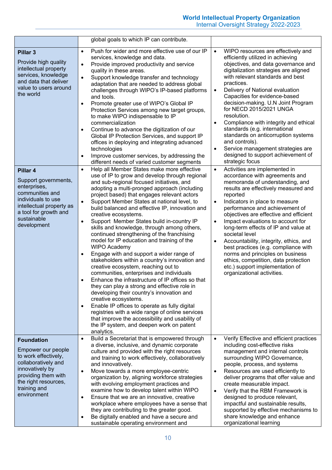|                                                                                                                                                                                         | global goals to which IP can contribute.                                                                                                                                                                                                                                                                                                                                                                                                                                                                                                                                                                                                                                                                                                                                                                                                                                                                                                                                                                                                                                                                                                                                                                                                                                                  |                                                                                                                                                                                                                                                                                                                                                                                                                                                                                                                                                                                                                                                                           |
|-----------------------------------------------------------------------------------------------------------------------------------------------------------------------------------------|-------------------------------------------------------------------------------------------------------------------------------------------------------------------------------------------------------------------------------------------------------------------------------------------------------------------------------------------------------------------------------------------------------------------------------------------------------------------------------------------------------------------------------------------------------------------------------------------------------------------------------------------------------------------------------------------------------------------------------------------------------------------------------------------------------------------------------------------------------------------------------------------------------------------------------------------------------------------------------------------------------------------------------------------------------------------------------------------------------------------------------------------------------------------------------------------------------------------------------------------------------------------------------------------|---------------------------------------------------------------------------------------------------------------------------------------------------------------------------------------------------------------------------------------------------------------------------------------------------------------------------------------------------------------------------------------------------------------------------------------------------------------------------------------------------------------------------------------------------------------------------------------------------------------------------------------------------------------------------|
| Pillar <sub>3</sub><br>Provide high quality<br>intellectual property<br>services, knowledge<br>and data that deliver<br>value to users around<br>the world                              | Push for wider and more effective use of our IP<br>$\bullet$<br>services, knowledge and data.<br>Provide improved productivity and service<br>$\bullet$<br>quality in these areas.<br>Support knowledge transfer and technology<br>$\bullet$<br>adaptation that are needed to address global<br>challenges through WIPO's IP-based platforms<br>and tools.<br>Promote greater use of WIPO's Global IP<br>$\bullet$<br>Protection Services among new target groups,<br>to make WIPO indispensable to IP<br>commercialization<br>Continue to advance the digitization of our<br>$\bullet$<br>Global IP Protection Services, and support IP<br>offices in deploying and integrating advanced<br>technologies<br>Improve customer services, by addressing the<br>$\bullet$                                                                                                                                                                                                                                                                                                                                                                                                                                                                                                                    | WIPO resources are effectively and<br>$\bullet$<br>efficiently utilized in achieving<br>objectives, and data governance and<br>digitalization strategies are aligned<br>with relevant standards and best<br>practices.<br>Delivery of National evaluation<br>$\bullet$<br>Capacities for evidence-based<br>decision-making. U.N Joint Program<br>for NECD 2015/2021 UNGA<br>resolution.<br>Compliance with integrity and ethical<br>$\bullet$<br>standards (e.g. international<br>standards on anticorruption systems<br>and controls).<br>Service management strategies are<br>$\bullet$<br>designed to support achievement of                                           |
| Pillar 4<br>Support governments,<br>enterprises,<br>communities and<br>individuals to use<br>intellectual property as<br>a tool for growth and<br>sustainable<br>development            | different needs of varied customer segments<br>Help all Member States make more effective<br>$\bullet$<br>use of IP to grow and develop through regional<br>and sub-regional focused initiatives, and<br>adopting a multi-pronged approach (including<br>project based) that engages relevant actors<br>Support Member States at national level, to<br>$\bullet$<br>build balanced and effective IP, innovation and<br>creative ecosystems.<br>Support Member States build in-country IP<br>$\bullet$<br>skills and knowledge, through among others,<br>continued strengthening of the franchising<br>model for IP education and training of the<br><b>WIPO Academy</b><br>Engage with and support a wider range of<br>$\bullet$<br>stakeholders within a country's innovation and<br>creative ecosystem, reaching out to<br>communities, enterprises and individuals<br>Enhance the infrastructure of IP offices so that<br>$\bullet$<br>they can play a strong and effective role in<br>developing their country's innovation and<br>creative ecosystems.<br>Enable IP offices to operate as fully digital<br>$\bullet$<br>registries with a wide range of online services<br>that improve the accessibility and usability of<br>the IP system, and deepen work on patent<br>analytics. | strategic focus<br>Activities are implemented in<br>$\bullet$<br>accordance with agreements and<br>memoranda of understanding, and<br>results are effectively measured and<br>reported<br>Indicators in place to measure<br>$\bullet$<br>performance and achievement of<br>objectives are effective and efficient<br>Impact evaluations to account for<br>$\bullet$<br>long-term effects of IP and value at<br>societal level<br>Accountability, integrity, ethics, and<br>$\bullet$<br>best practices (e.g. compliance with<br>norms and principles on business<br>ethics, competition, data protection<br>etc.) support implementation of<br>organizational activities. |
| <b>Foundation</b><br>Empower our people<br>to work effectively,<br>collaboratively and<br>innovatively by<br>providing them with<br>the right resources,<br>training and<br>environment | Build a Secretariat that is empowered through<br>$\bullet$<br>a diverse, inclusive, and dynamic corporate<br>culture and provided with the right resources<br>and training to work effectively, collaboratively<br>and innovatively.<br>Move towards a more employee-centric<br>$\bullet$<br>organization by, aligning workforce strategies<br>with evolving employment practices and<br>examine how to develop talent within WIPO<br>Ensure that we are an innovative, creative<br>$\bullet$<br>workplace where employees have a sense that<br>they are contributing to the greater good.<br>Be digitally enabled and have a secure and<br>$\bullet$<br>sustainable operating environment and                                                                                                                                                                                                                                                                                                                                                                                                                                                                                                                                                                                            | Verify Effective and efficient practices<br>$\bullet$<br>including cost-effective risks<br>management and internal controls<br>surrounding WIPO Governance,<br>people, process, and systems<br>Resources are used efficiently to<br>$\bullet$<br>deliver programs that offer value and<br>create measurable impact.<br>Verify that the RBM Framework is<br>designed to produce relevant,<br>impactful and sustainable results,<br>supported by effective mechanisms to<br>share knowledge and enhance<br>organizational learning                                                                                                                                          |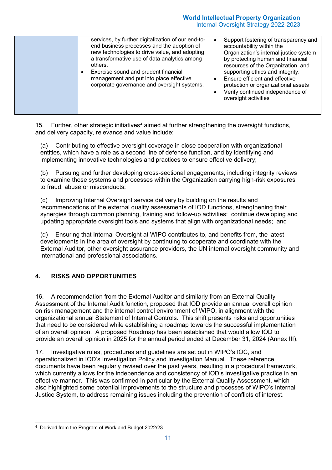15. Further, other strategic initiatives<sup>[4](#page-10-1)</sup> aimed at further strengthening the oversight functions, and delivery capacity, relevance and value include:

(a) Contributing to effective oversight coverage in close cooperation with organizational entities, which have a role as a second line of defense function, and by identifying and implementing innovative technologies and practices to ensure effective delivery;

(b) Pursuing and further developing cross-sectional engagements, including integrity reviews to examine those systems and processes within the Organization carrying high-risk exposures to fraud, abuse or misconducts;

(c) Improving Internal Oversight service delivery by building on the results and recommendations of the external quality assessments of IOD functions, strengthening their synergies through common planning, training and follow-up activities; continue developing and updating appropriate oversight tools and systems that align with organizational needs; and

(d) Ensuring that Internal Oversight at WIPO contributes to, and benefits from, the latest developments in the area of oversight by continuing to cooperate and coordinate with the External Auditor, other oversight assurance providers, the UN internal oversight community and international and professional associations.

## <span id="page-10-0"></span>**4. RISKS AND OPPORTUNITIES**

16. A recommendation from the External Auditor and similarly from an External Quality Assessment of the Internal Audit function, proposed that IOD provide an annual overall opinion on risk management and the internal control environment of WIPO, in alignment with the organizational annual Statement of Internal Controls. This shift presents risks and opportunities that need to be considered while establishing a roadmap towards the successful implementation of an overall opinion. A proposed Roadmap has been established that would allow IOD to provide an overall opinion in 2025 for the annual period ended at December 31, 2024 (Annex III).

17. Investigative rules, procedures and guidelines are set out in WIPO's IOC, and operationalized in IOD's Investigation Policy and Investigation Manual. These reference documents have been regularly revised over the past years, resulting in a procedural framework, which currently allows for the independence and consistency of IOD's investigative practice in an effective manner. This was confirmed in particular by the External Quality Assessment, which also highlighted some potential improvements to the structure and processes of WIPO's Internal Justice System, to address remaining issues including the prevention of conflicts of interest.

<span id="page-10-1"></span> <sup>4</sup> Derived from the Program of Work and Budget 2022/23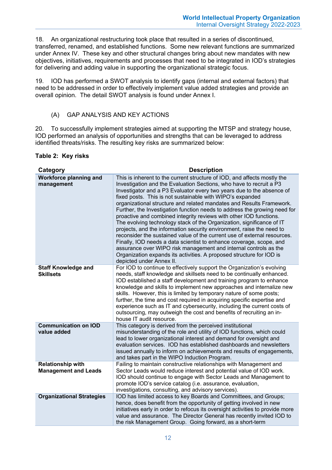18. An organizational restructuring took place that resulted in a series of discontinued, transferred, renamed, and established functions. Some new relevant functions are summarized under Annex IV. These key and other structural changes bring about new mandates with new objectives, initiatives, requirements and processes that need to be integrated in IOD's strategies for delivering and adding value in supporting the organizational strategic focus.

19. IOD has performed a SWOT analysis to identify gaps (internal and external factors) that need to be addressed in order to effectively implement value added strategies and provide an overall opinion. The detail SWOT analysis is found under Annex I.

#### <span id="page-11-0"></span>(A) GAP ANALYSIS AND KEY ACTIONS

20. To successfully implement strategies aimed at supporting the MTSP and strategy house, IOD performed an analysis of opportunities and strengths that can be leveraged to address identified threats/risks. The resulting key risks are summarized below:

#### **Table 2: Key risks**

| Category                                                | <b>Description</b>                                                                                                                                                                                                                                                                                                                                                                                                                                                                                                                                                                                                                                                                                                                                                                                                                                                                                                                                                                            |
|---------------------------------------------------------|-----------------------------------------------------------------------------------------------------------------------------------------------------------------------------------------------------------------------------------------------------------------------------------------------------------------------------------------------------------------------------------------------------------------------------------------------------------------------------------------------------------------------------------------------------------------------------------------------------------------------------------------------------------------------------------------------------------------------------------------------------------------------------------------------------------------------------------------------------------------------------------------------------------------------------------------------------------------------------------------------|
| <b>Workforce planning and</b><br>management             | This is inherent to the current structure of IOD, and affects mostly the<br>Investigation and the Evaluation Sections, who have to recruit a P3<br>Investigator and a P3 Evaluator every two years due to the absence of<br>fixed posts. This is not sustainable with WIPO's expanded<br>organizational structure and related mandates and Results Framework.<br>Further, the Investigation function needs to address the growing need for<br>proactive and combined integrity reviews with other IOD functions.<br>The evolving technology stack of the Organization, significance of IT<br>projects, and the information security environment, raise the need to<br>reconsider the sustained value of the current use of external resources.<br>Finally, IOD needs a data scientist to enhance coverage, scope, and<br>assurance over WIPO risk management and internal controls as the<br>Organization expands its activities. A proposed structure for IOD is<br>depicted under Annex II. |
| <b>Staff Knowledge and</b><br><b>Skillsets</b>          | For IOD to continue to effectively support the Organization's evolving<br>needs, staff knowledge and skillsets need to be continually enhanced.<br>IOD established a staff development and training program to enhance<br>knowledge and skills to implement new approaches and internalize new<br>skills. However, this is limited by temporary nature of some posts;<br>further, the time and cost required in acquiring specific expertise and<br>experience such as IT and cybersecurity, including the current costs of<br>outsourcing, may outweigh the cost and benefits of recruiting an in-<br>house IT audit resource.                                                                                                                                                                                                                                                                                                                                                               |
| <b>Communication on IOD</b><br>value added              | This category is derived from the perceived institutional<br>misunderstanding of the role and utility of IOD functions, which could<br>lead to lower organizational interest and demand for oversight and<br>evaluation services. IOD has established dashboards and newsletters<br>issued annually to inform on achievements and results of engagements,<br>and takes part in the WIPO Induction Program.                                                                                                                                                                                                                                                                                                                                                                                                                                                                                                                                                                                    |
| <b>Relationship with</b><br><b>Management and Leads</b> | Failing to maintain constructive relationships with Management and<br>Sector Leads would reduce interest and potential value of IOD work.<br>IOD should continue to engage with Sector Leads and Management to<br>promote IOD's service catalog (i.e. assurance, evaluation,<br>investigations, consulting, and advisory services).                                                                                                                                                                                                                                                                                                                                                                                                                                                                                                                                                                                                                                                           |
| <b>Organizational Strategies</b>                        | IOD has limited access to key Boards and Committees, and Groups;<br>hence, does benefit from the opportunity of getting involved in new<br>initiatives early in order to refocus its oversight activities to provide more<br>value and assurance. The Director General has recently invited IOD to<br>the risk Management Group. Going forward, as a short-term                                                                                                                                                                                                                                                                                                                                                                                                                                                                                                                                                                                                                               |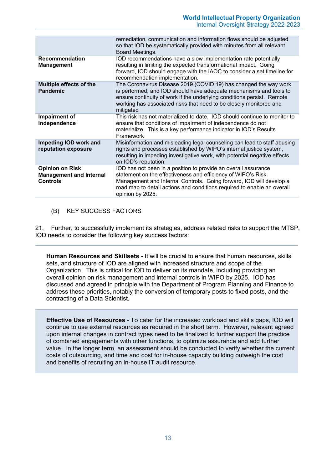|                                                                             | remediation, communication and information flows should be adjusted<br>so that IOD be systematically provided with minutes from all relevant<br>Board Meetings.                                                                                                                                      |
|-----------------------------------------------------------------------------|------------------------------------------------------------------------------------------------------------------------------------------------------------------------------------------------------------------------------------------------------------------------------------------------------|
| <b>Recommendation</b><br><b>Management</b>                                  | IOD recommendations have a slow implementation rate potentially<br>resulting in limiting the expected transformational impact. Going<br>forward, IOD should engage with the IAOC to consider a set timeline for<br>recommendation implementation.                                                    |
| Multiple effects of the<br><b>Pandemic</b>                                  | The Coronavirus Disease 2019 (COVID 19) has changed the way work<br>is performed, and IOD should have adequate mechanisms and tools to<br>ensure continuity of work if the underlying conditions persist. Remote<br>working has associated risks that need to be closely monitored and<br>mitigated  |
| Impairment of<br>Independence                                               | This risk has not materialized to date. IOD should continue to monitor to<br>ensure that conditions of impairment of independence do not<br>materialize. This is a key performance indicator in IOD's Results<br>Framework                                                                           |
| Impeding IOD work and<br>reputation exposure                                | Misinformation and misleading legal counseling can lead to staff abusing<br>rights and processes established by WIPO's internal justice system,<br>resulting in impeding investigative work, with potential negative effects<br>on IOD's reputation.                                                 |
| <b>Opinion on Risk</b><br><b>Management and Internal</b><br><b>Controls</b> | IOD has not been in a position to provide an overall assurance<br>statement on the effectiveness and efficiency of WIPO's Risk<br>Management and Internal Controls. Going forward, IOD will develop a<br>road map to detail actions and conditions required to enable an overall<br>opinion by 2025. |

<span id="page-12-0"></span>(B) KEY SUCCESS FACTORS

21. Further, to successfully implement its strategies, address related risks to support the MTSP, IOD needs to consider the following key success factors:

**Human Resources and Skillsets** - It will be crucial to ensure that human resources, skills sets, and structure of IOD are aligned with increased structure and scope of the Organization. This is critical for IOD to deliver on its mandate, including providing an overall opinion on risk management and internal controls in WIPO by 2025. IOD has discussed and agreed in principle with the Department of Program Planning and Finance to address these priorities, notably the conversion of temporary posts to fixed posts, and the contracting of a Data Scientist.

**Effective Use of Resources** - To cater for the increased workload and skills gaps, IOD will continue to use external resources as required in the short term. However, relevant agreed upon internal changes in contract types need to be finalized to further support the practice of combined engagements with other functions, to optimize assurance and add further value. In the longer term, an assessment should be conducted to verify whether the current costs of outsourcing, and time and cost for in-house capacity building outweigh the cost and benefits of recruiting an in-house IT audit resource.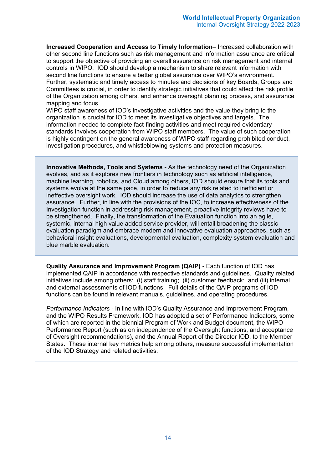**Increased Cooperation and Access to Timely Information**– Increased collaboration with other second line functions such as risk management and information assurance are critical to support the objective of providing an overall assurance on risk management and internal controls in WIPO. IOD should develop a mechanism to share relevant information with second line functions to ensure a better global assurance over WIPO's environment. Further, systematic and timely access to minutes and decisions of key Boards, Groups and Committees is crucial, in order to identify strategic initiatives that could affect the risk profile of the Organization among others, and enhance oversight planning process, and assurance mapping and focus.

WIPO staff awareness of IOD's investigative activities and the value they bring to the organization is crucial for IOD to meet its investigative objectives and targets. The information needed to complete fact-finding activities and meet required evidentiary standards involves cooperation from WIPO staff members. The value of such cooperation is highly contingent on the general awareness of WIPO staff regarding prohibited conduct, investigation procedures, and whistleblowing systems and protection measures.

**Innovative Methods, Tools and Systems** - As the technology need of the Organization evolves, and as it explores new frontiers in technology such as artificial intelligence, machine learning, robotics, and Cloud among others, IOD should ensure that its tools and systems evolve at the same pace, in order to reduce any risk related to inefficient or ineffective oversight work. IOD should increase the use of data analytics to strengthen assurance. Further, in line with the provisions of the IOC, to increase effectiveness of the Investigation function in addressing risk management, proactive integrity reviews have to be strengthened. Finally, the transformation of the Evaluation function into an agile, systemic, internal high value added service provider, will entail broadening the classic evaluation paradigm and embrace modern and innovative evaluation approaches, such as behavioral insight evaluations, developmental evaluation, complexity system evaluation and blue marble evaluation.

**Quality Assurance and Improvement Program (QAIP) -** Each function of IOD has implemented QAIP in accordance with respective standards and guidelines. Quality related initiatives include among others: (i) staff training; (ii) customer feedback; and (iii) internal and external assessments of IOD functions. Full details of the QAIP programs of IOD functions can be found in relevant manuals, guidelines, and operating procedures.

*Performance Indicators -* In line with IOD's Quality Assurance and Improvement Program, and the WIPO Results Framework, IOD has adopted a set of Performance Indicators, some of which are reported in the biennial Program of Work and Budget document, the WIPO Performance Report (such as on independence of the Oversight functions, and acceptance of Oversight recommendations), and the Annual Report of the Director IOD, to the Member States. These internal key metrics help among others, measure successful implementation of the IOD Strategy and related activities.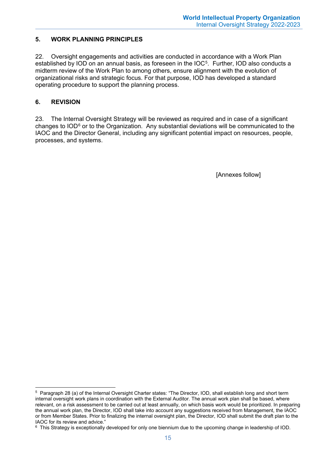## <span id="page-14-0"></span>**5. WORK PLANNING PRINCIPLES**

22. Oversight engagements and activities are conducted in accordance with a Work Plan established by IOD on an annual basis, as foreseen in the IOC<sup>[5](#page-14-2)</sup>. Further, IOD also conducts a midterm review of the Work Plan to among others, ensure alignment with the evolution of organizational risks and strategic focus. For that purpose, IOD has developed a standard operating procedure to support the planning process.

### <span id="page-14-1"></span>**6. REVISION**

23. The Internal Oversight Strategy will be reviewed as required and in case of a significant changes to IOD<sup>[6](#page-14-3)</sup> or to the Organization. Any substantial deviations will be communicated to the IAOC and the Director General, including any significant potential impact on resources, people, processes, and systems.

[Annexes follow]

<span id="page-14-2"></span> <sup>5</sup> Paragraph 28 (a) of the Internal Oversight Charter states: "The Director, IOD, shall establish long and short term internal oversight work plans in coordination with the External Auditor. The annual work plan shall be based, where relevant, on a risk assessment to be carried out at least annually, on which basis work would be prioritized. In preparing the annual work plan, the Director, IOD shall take into account any suggestions received from Management, the IAOC or from Member States. Prior to finalizing the internal oversight plan, the Director, IOD shall submit the draft plan to the IAOC for its review and advice."

<span id="page-14-3"></span> $6$  This Strategy is exceptionally developed for only one biennium due to the upcoming change in leadership of IOD.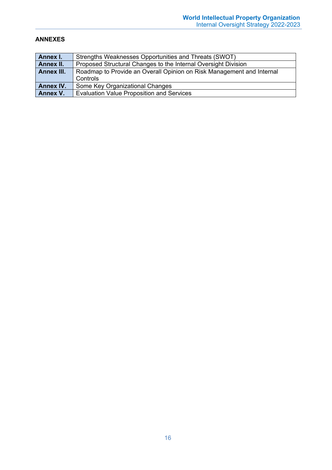#### <span id="page-15-0"></span>**ANNEXES**

| Annex I.         | Strengths Weaknesses Opportunities and Threats (SWOT)                             |
|------------------|-----------------------------------------------------------------------------------|
| Annex II.        | Proposed Structural Changes to the Internal Oversight Division                    |
| Annex III.       | Roadmap to Provide an Overall Opinion on Risk Management and Internal<br>Controls |
| <b>Annex IV.</b> | Some Key Organizational Changes                                                   |
| Annex V.         | <b>Evaluation Value Proposition and Services</b>                                  |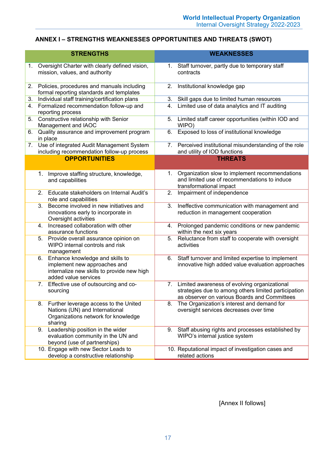## **ANNEX I – STRENGTHS WEAKNESSES OPPORTUNITIES AND THREATS (SWOT)**

|    |    | <b>STRENGTHS</b>                                                                                                                      |    | <b>WEAKNESSES</b>                                                                                                                                       |
|----|----|---------------------------------------------------------------------------------------------------------------------------------------|----|---------------------------------------------------------------------------------------------------------------------------------------------------------|
| 1. |    | Oversight Charter with clearly defined vision,<br>mission, values, and authority                                                      | 1. | Staff turnover, partly due to temporary staff<br>contracts                                                                                              |
| 2. |    | Policies, procedures and manuals including<br>formal reporting standards and templates                                                | 2. | Institutional knowledge gap                                                                                                                             |
| 3. |    | Individual staff training/certification plans                                                                                         | 3. | Skill gaps due to limited human resources                                                                                                               |
| 4. |    | Formalized recommendation follow-up and<br>reporting process                                                                          | 4. | Limited use of data analytics and IT auditing                                                                                                           |
| 5. |    | Constructive relationship with Senior<br>Management and IAOC                                                                          | 5. | Limited staff career opportunities (within IOD and<br>WIPO)                                                                                             |
| 6. |    | Quality assurance and improvement program<br>in place                                                                                 | 6. | Exposed to loss of institutional knowledge                                                                                                              |
| 7. |    | Use of integrated Audit Management System<br>including recommendation follow-up process                                               |    | 7. Perceived institutional misunderstanding of the role<br>and utility of IOD functions                                                                 |
|    |    | <b>OPPORTUNITIES</b>                                                                                                                  |    | <b>THREATS</b>                                                                                                                                          |
|    |    |                                                                                                                                       |    |                                                                                                                                                         |
|    | 1. | Improve staffing structure, knowledge,<br>and capabilities                                                                            | 1. | Organization slow to implement recommendations<br>and limited use of recommendations to induce<br>transformational impact                               |
|    | 2. | Educate stakeholders on Internal Audit's<br>role and capabilities                                                                     | 2. | Impairment of independence                                                                                                                              |
|    | 3. | Become involved in new initiatives and<br>innovations early to incorporate in<br>Oversight activities                                 | 3. | Ineffective communication with management and<br>reduction in management cooperation                                                                    |
|    |    | 4. Increased collaboration with other<br>assurance functions                                                                          | 4. | Prolonged pandemic conditions or new pandemic<br>within the next six years                                                                              |
|    | 5. | Provide overall assurance opinion on<br>WIPO internal controls and risk<br>management                                                 | 5. | Reluctance from staff to cooperate with oversight<br>activities                                                                                         |
|    | 6. | Enhance knowledge and skills to<br>implement new approaches and<br>internalize new skills to provide new high<br>added value services | 6. | Staff turnover and limited expertise to implement<br>innovative high added value evaluation approaches                                                  |
|    | 7. | Effective use of outsourcing and co-<br>sourcing                                                                                      |    | 7. Limited awareness of evolving organizational<br>strategies due to among others limited participation<br>as observer on various Boards and Committees |
|    | 8. | Further leverage access to the United<br>Nations (UN) and International<br>Organizations network for knowledge<br>sharing             | 8. | The Organization's interest and demand for<br>oversight services decreases over time                                                                    |
|    | 9. | Leadership position in the wider<br>evaluation community in the UN and<br>beyond (use of partnerships)                                | 9. | Staff abusing rights and processes established by<br>WIPO's internal justice system                                                                     |
|    |    | 10. Engage with new Sector Leads to<br>develop a constructive relationship                                                            |    | 10. Reputational impact of investigation cases and<br>related actions                                                                                   |

[Annex II follows]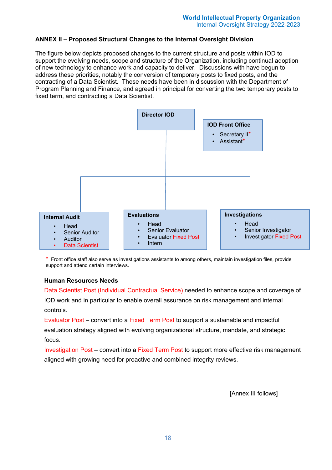### **ANNEX II – Proposed Structural Changes to the Internal Oversight Division**

The figure below depicts proposed changes to the current structure and posts within IOD to support the evolving needs, scope and structure of the Organization, including continual adoption of new technology to enhance work and capacity to deliver. Discussions with have begun to address these priorities, notably the conversion of temporary posts to fixed posts, and the contracting of a Data Scientist. These needs have been in discussion with the Department of Program Planning and Finance, and agreed in principal for converting the two temporary posts to fixed term, and contracting a Data Scientist.



\* Front office staff also serve as investigations assistants to among others, maintain investigation files, provide support and attend certain interviews.

#### **Human Resources Needs**

Data Scientist Post (Individual Contractual Service) needed to enhance scope and coverage of IOD work and in particular to enable overall assurance on risk management and internal controls.

Evaluator Post – convert into a Fixed Term Post to support a sustainable and impactful evaluation strategy aligned with evolving organizational structure, mandate, and strategic focus.

Investigation Post – convert into a Fixed Term Post to support more effective risk management aligned with growing need for proactive and combined integrity reviews.

[Annex III follows]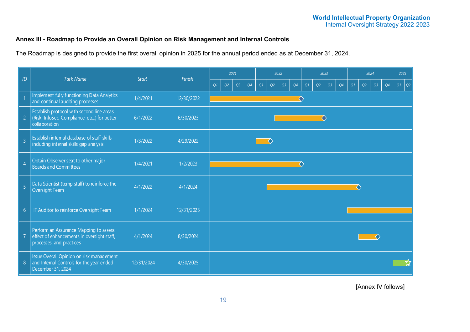## **Annex III - Roadmap to Provide an Overall Opinion on Risk Management and Internal Controls**

The Roadmap is designed to provide the first overall opinion in 2025 for the annual period ended as at December 31, 2024.

| ID               | <b>Task Name</b>                                                                                                 |              | Finish     |    | 2021 |    |    |    | 2022 |    |    |    | 2023 |    |    |    | 2024 |    |    |    | 2025           |  |  |
|------------------|------------------------------------------------------------------------------------------------------------------|--------------|------------|----|------|----|----|----|------|----|----|----|------|----|----|----|------|----|----|----|----------------|--|--|
|                  |                                                                                                                  | <b>Start</b> |            | Q1 | Q2   | Q3 | Q4 | Q1 | Q2   | Q3 | Q4 | Q1 | Q2   | Q3 | Q4 | Q1 | Q2   | Q3 | Q4 | O1 | $\overline{Q}$ |  |  |
|                  | Implement fully functioning Data Analytics<br>and continual auditing processes                                   | 1/4/2021     | 12/30/2022 |    |      |    |    |    |      |    |    |    |      |    |    |    |      |    |    |    |                |  |  |
| $\overline{2}$   | Establish protocol with second line areas<br>(Risk; InfoSec; Compliance, etc) for better<br>collaboration        | 6/1/2022     | 6/30/2023  |    |      |    |    |    |      |    |    |    |      | ◇  |    |    |      |    |    |    |                |  |  |
| $\overline{3}$   | Establish internal database of staff skills<br>including internal skills gap analysis                            | 1/3/2022     | 4/29/2022  |    |      |    |    |    | ◇    |    |    |    |      |    |    |    |      |    |    |    |                |  |  |
| $\overline{4}$   | Obtain Observer seat to other major<br><b>Boards and Committees</b>                                              | 1/4/2021     | 1/2/2023   | ◇  |      |    |    |    |      |    |    |    |      |    |    |    |      |    |    |    |                |  |  |
| $\overline{5}$   | Data Scientist (temp staff) to reinforce the<br><b>Oversight Team</b>                                            | 4/1/2022     | 4/1/2024   |    |      |    |    |    |      |    |    |    |      |    |    | ◇  |      |    |    |    |                |  |  |
| $6\,$            | IT Auditor to reinforce Oversight Team                                                                           | 1/1/2024     | 12/31/2025 |    |      |    |    |    |      |    |    |    |      |    |    |    |      |    |    |    |                |  |  |
|                  | Perform an Assurance Mapping to assess<br>effect of enhancements in oversight staff,<br>processes, and practices | 4/1/2024     | 8/30/2024  |    |      |    |    |    |      |    |    |    |      |    |    |    |      |    |    |    |                |  |  |
| $\boldsymbol{8}$ | Issue Overall Opinion on risk management<br>and Internal Controls for the year ended<br>December 31, 2024        | 12/31/2024   | 4/30/2025  |    |      |    |    |    |      |    |    |    |      |    |    |    |      |    |    |    |                |  |  |

[Annex IV follows]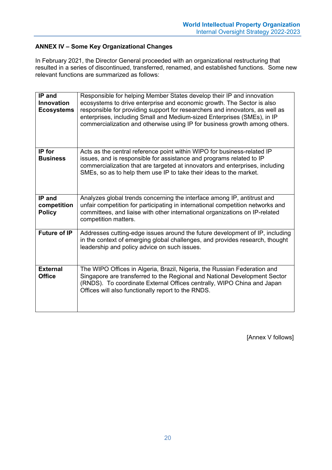## **ANNEX IV – Some Key Organizational Changes**

In February 2021, the Director General proceeded with an organizational restructuring that resulted in a series of discontinued, transferred, renamed, and established functions. Some new relevant functions are summarized as follows:

| IP and<br><b>Innovation</b><br><b>Ecosystems</b> | Responsible for helping Member States develop their IP and innovation<br>ecosystems to drive enterprise and economic growth. The Sector is also<br>responsible for providing support for researchers and innovators, as well as<br>enterprises, including Small and Medium-sized Enterprises (SMEs), in IP<br>commercialization and otherwise using IP for business growth among others. |
|--------------------------------------------------|------------------------------------------------------------------------------------------------------------------------------------------------------------------------------------------------------------------------------------------------------------------------------------------------------------------------------------------------------------------------------------------|
| IP for<br><b>Business</b>                        | Acts as the central reference point within WIPO for business-related IP<br>issues, and is responsible for assistance and programs related to IP<br>commercialization that are targeted at innovators and enterprises, including<br>SMEs, so as to help them use IP to take their ideas to the market.                                                                                    |
| IP and<br>competition<br><b>Policy</b>           | Analyzes global trends concerning the interface among IP, antitrust and<br>unfair competition for participating in international competition networks and<br>committees, and liaise with other international organizations on IP-related<br>competition matters.                                                                                                                         |
| <b>Future of IP</b>                              | Addresses cutting-edge issues around the future development of IP, including<br>in the context of emerging global challenges, and provides research, thought<br>leadership and policy advice on such issues.                                                                                                                                                                             |
| <b>External</b><br><b>Office</b>                 | The WIPO Offices in Algeria, Brazil, Nigeria, the Russian Federation and<br>Singapore are transferred to the Regional and National Development Sector<br>(RNDS). To coordinate External Offices centrally, WIPO China and Japan<br>Offices will also functionally report to the RNDS.                                                                                                    |

[Annex V follows]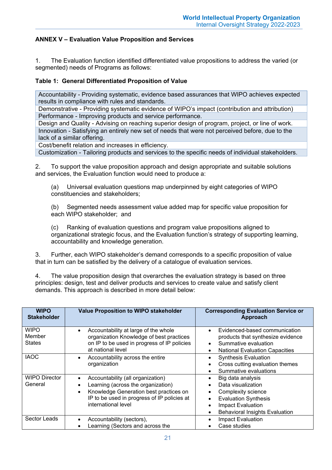## **ANNEX V – Evaluation Value Proposition and Services**

1. The Evaluation function identified differentiated value propositions to address the varied (or segmented) needs of Programs as follows:

#### **Table 1: General Differentiated Proposition of Value**

Accountability - Providing systematic, evidence based assurances that WIPO achieves expected results in compliance with rules and standards.

Demonstrative - Providing systematic evidence of WIPO's impact (contribution and attribution) Performance - Improving products and service performance.

Design and Quality - Advising on reaching superior design of program, project, or line of work. Innovation - Satisfying an entirely new set of needs that were not perceived before, due to the lack of a similar offering.

Cost/benefit relation and increases in efficiency.

Customization - Tailoring products and services to the specific needs of individual stakeholders.

2. To support the value proposition approach and design appropriate and suitable solutions and services, the Evaluation function would need to produce a:

(a) Universal evaluation questions map underpinned by eight categories of WIPO constituencies and stakeholders;

(b) Segmented needs assessment value added map for specific value proposition for each WIPO stakeholder; and

(c) Ranking of evaluation questions and program value propositions aligned to organizational strategic focus, and the Evaluation function's strategy of supporting learning, accountability and knowledge generation.

3. Further, each WIPO stakeholder's demand corresponds to a specific proposition of value that in turn can be satisfied by the delivery of a catalogue of evaluation services.

4. The value proposition design that overarches the evaluation strategy is based on three principles: design, test and deliver products and services to create value and satisfy client demands. This approach is described in more detail below:

| <b>WIPO</b><br><b>Stakeholder</b>      | Value Proposition to WIPO stakeholder                                                                                                                                                                | <b>Corresponding Evaluation Service or</b><br>Approach                                                                                                            |
|----------------------------------------|------------------------------------------------------------------------------------------------------------------------------------------------------------------------------------------------------|-------------------------------------------------------------------------------------------------------------------------------------------------------------------|
| <b>WIPO</b><br>Member<br><b>States</b> | Accountability at large of the whole<br>$\bullet$<br>organization Knowledge of best practices<br>on IP to be used in progress of IP policies<br>at national level                                    | Evidenced-based communication<br>products that synthesize evidence<br>Summative evaluation<br><b>National Evaluation Capacities</b><br>$\bullet$                  |
| <b>IAOC</b>                            | Accountability across the entire<br>organization                                                                                                                                                     | <b>Synthesis Evaluation</b><br>Cross cutting evaluation themes<br>Summative evaluations                                                                           |
| <b>WIPO Director</b><br>General        | Accountability (all organization)<br>$\bullet$<br>Learning (across the organization)<br>Knowledge Generation best practices on<br>IP to be used in progress of IP policies at<br>international level | Big data analysis<br>Data visualization<br>Complexity science<br><b>Evaluation Synthesis</b><br><b>Impact Evaluation</b><br><b>Behavioral Insights Evaluation</b> |
| Sector Leads                           | Accountability (sectors),<br>Learning (Sectors and across the                                                                                                                                        | Impact Evaluation<br>Case studies                                                                                                                                 |